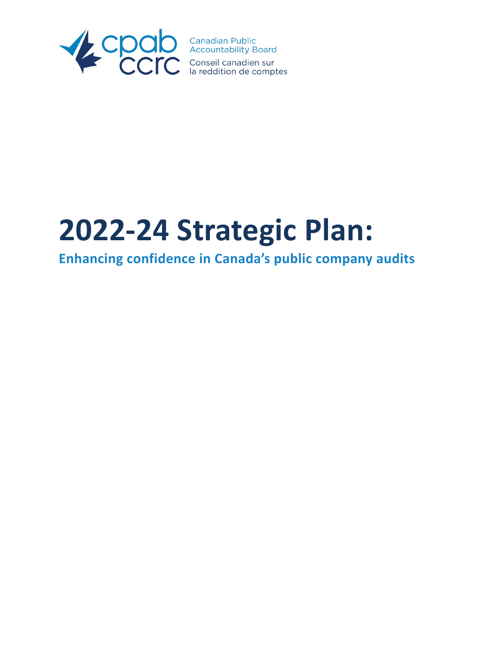

# **2022-24 Strategic Plan:**

## **Enhancing confidence in Canada's public company audits**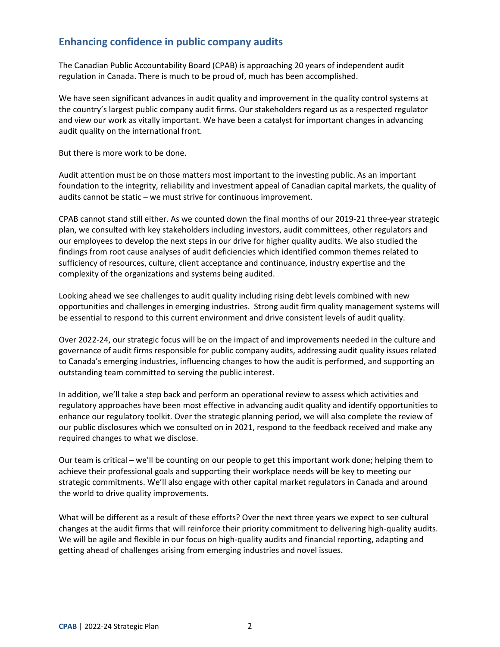## **Enhancing confidence in public company audits**

The Canadian Public Accountability Board (CPAB) is approaching 20 years of independent audit regulation in Canada. There is much to be proud of, much has been accomplished.

We have seen significant advances in audit quality and improvement in the quality control systems at the country's largest public company audit firms. Our stakeholders regard us as a respected regulator and view our work as vitally important. We have been a catalyst for important changes in advancing audit quality on the international front.

But there is more work to be done.

Audit attention must be on those matters most important to the investing public. As an important foundation to the integrity, reliability and investment appeal of Canadian capital markets, the quality of audits cannot be static – we must strive for continuous improvement.

CPAB cannot stand still either. As we counted down the final months of our 2019-21 three-year strategic plan, we consulted with key stakeholders including investors, audit committees, other regulators and our employees to develop the next steps in our drive for higher quality audits. We also studied the findings from root cause analyses of audit deficiencies which identified common themes related to sufficiency of resources, culture, client acceptance and continuance, industry expertise and the complexity of the organizations and systems being audited.

Looking ahead we see challenges to audit quality including rising debt levels combined with new opportunities and challenges in emerging industries. Strong audit firm quality management systems will be essential to respond to this current environment and drive consistent levels of audit quality.

Over 2022-24, our strategic focus will be on the impact of and improvements needed in the culture and governance of audit firms responsible for public company audits, addressing audit quality issues related to Canada's emerging industries, influencing changes to how the audit is performed, and supporting an outstanding team committed to serving the public interest.

In addition, we'll take a step back and perform an operational review to assess which activities and regulatory approaches have been most effective in advancing audit quality and identify opportunities to enhance our regulatory toolkit. Over the strategic planning period, we will also complete the review of our public disclosures which we consulted on in 2021, respond to the feedback received and make any required changes to what we disclose.

Our team is critical – we'll be counting on our people to get this important work done; helping them to achieve their professional goals and supporting their workplace needs will be key to meeting our strategic commitments. We'll also engage with other capital market regulators in Canada and around the world to drive quality improvements.

What will be different as a result of these efforts? Over the next three years we expect to see cultural changes at the audit firms that will reinforce their priority commitment to delivering high-quality audits. We will be agile and flexible in our focus on high-quality audits and financial reporting, adapting and getting ahead of challenges arising from emerging industries and novel issues.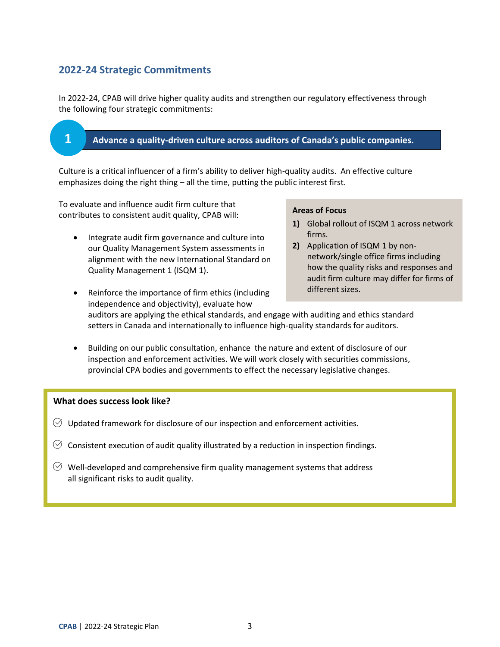## **2022-24 Strategic Commitments**

**1**

In 2022-24, CPAB will drive higher quality audits and strengthen our regulatory effectiveness through the following four strategic commitments:

#### **Advance a quality-driven culture across auditors of Canada's public companies.**

Culture is a critical influencer of a firm's ability to deliver high-quality audits. An effective culture emphasizes doing the right thing – all the time, putting the public interest first.

To evaluate and influence audit firm culture that contributes to consistent audit quality, CPAB will:

• Integrate audit firm governance and culture into our Quality Management System assessments in alignment with the new International Standard on Quality Management 1 (ISQM 1).

#### **Areas of Focus**

- **1)** Global rollout of ISQM 1 across network firms.
- **2)** Application of ISQM 1 by nonnetwork/single office firms including how the quality risks and responses and audit firm culture may differ for firms of different sizes.
- Reinforce the importance of firm ethics (including independence and objectivity), evaluate how auditors are applying the ethical standards, and engage with auditing and ethics standard setters in Canada and internationally to influence high-quality standards for auditors.
- Building on our public consultation, enhance the nature and extent of disclosure of our inspection and enforcement activities. We will work closely with securities commissions, provincial CPA bodies and governments to effect the necessary legislative changes.

#### **What does success look like?**

- $\heartsuit$  Updated framework for disclosure of our inspection and enforcement activities.
- $\heartsuit$  Consistent execution of audit quality illustrated by a reduction in inspection findings.
- $\Diamond$  Well-developed and comprehensive firm quality management systems that address all significant risks to audit quality.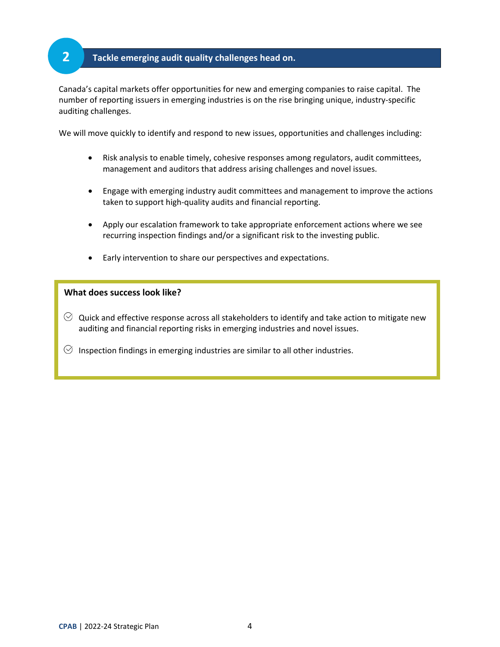## **Tackle emerging audit quality challenges head on.**

Canada's capital markets offer opportunities for new and emerging companies to raise capital. The number of reporting issuers in emerging industries is on the rise bringing unique, industry-specific auditing challenges.

We will move quickly to identify and respond to new issues, opportunities and challenges including:

- Risk analysis to enable timely, cohesive responses among regulators, audit committees, management and auditors that address arising challenges and novel issues.
- Engage with emerging industry audit committees and management to improve the actions taken to support high-quality audits and financial reporting.
- Apply our escalation framework to take appropriate enforcement actions where we see recurring inspection findings and/or a significant risk to the investing public.
- Early intervention to share our perspectives and expectations.

#### **What does success look like?**

**2**

 $\heartsuit$  Quick and effective response across all stakeholders to identify and take action to mitigate new auditing and financial reporting risks in emerging industries and novel issues.

 $\heartsuit$  Inspection findings in emerging industries are similar to all other industries.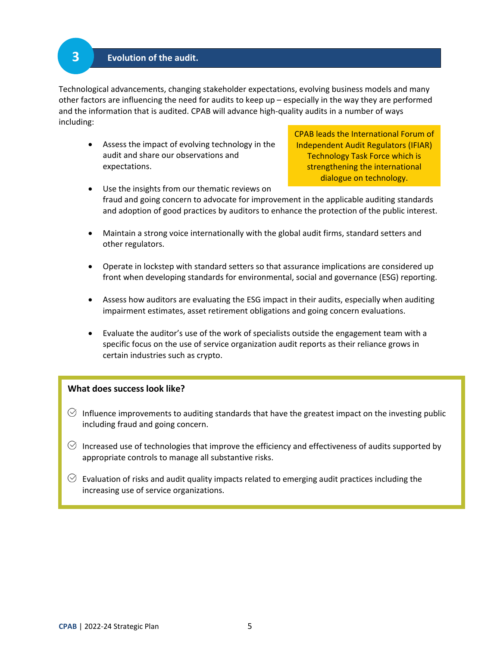#### **Evolution of the audit.**

**3**

Technological advancements, changing stakeholder expectations, evolving business models and many other factors are influencing the need for audits to keep up – especially in the way they are performed and the information that is audited. CPAB will advance high-quality audits in a number of ways including:

• Assess the impact of evolving technology in the audit and share our observations and expectations.

CPAB leads the International Forum of Independent Audit Regulators (IFIAR) Technology Task Force which is strengthening the international dialogue on technology.

- Use the insights from our thematic reviews on fraud and going concern to advocate for improvement in the applicable auditing standards and adoption of good practices by auditors to enhance the protection of the public interest.
- Maintain a strong voice internationally with the global audit firms, standard setters and other regulators.
- Operate in lockstep with standard setters so that assurance implications are considered up front when developing standards for environmental, social and governance (ESG) reporting.
- Assess how auditors are evaluating the ESG impact in their audits, especially when auditing impairment estimates, asset retirement obligations and going concern evaluations.
- Evaluate the auditor's use of the work of specialists outside the engagement team with a specific focus on the use of service organization audit reports as their reliance grows in certain industries such as crypto.

#### **What does success look like?**

- $\Diamond$  Influence improvements to auditing standards that have the greatest impact on the investing public including fraud and going concern.
- $\heartsuit$  Increased use of technologies that improve the efficiency and effectiveness of audits supported by appropriate controls to manage all substantive risks.
- $\heartsuit$  Evaluation of risks and audit quality impacts related to emerging audit practices including the increasing use of service organizations.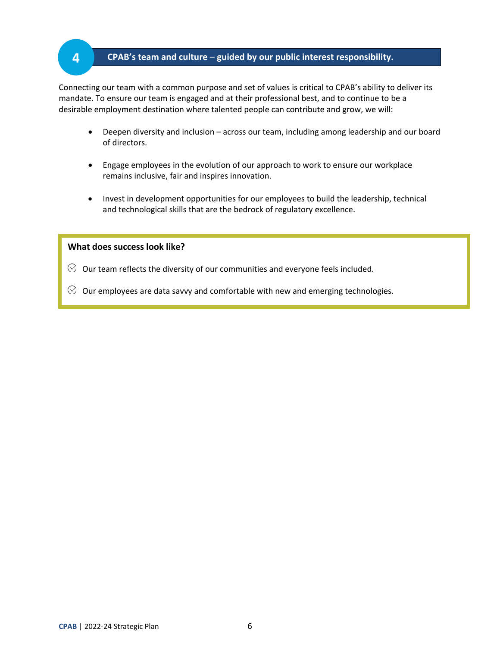## **CPAB's team and culture** – **guided by our public interest responsibility.**

Connecting our team with a common purpose and set of values is critical to CPAB's ability to deliver its mandate. To ensure our team is engaged and at their professional best, and to continue to be a desirable employment destination where talented people can contribute and grow, we will:

- Deepen diversity and inclusion across our team, including among leadership and our board of directors.
- Engage employees in the evolution of our approach to work to ensure our workplace remains inclusive, fair and inspires innovation.
- Invest in development opportunities for our employees to build the leadership, technical and technological skills that are the bedrock of regulatory excellence.

#### **What does success look like?**

**4**

- $\heartsuit$  Our team reflects the diversity of our communities and everyone feels included.
- $\heartsuit$  Our employees are data savvy and comfortable with new and emerging technologies.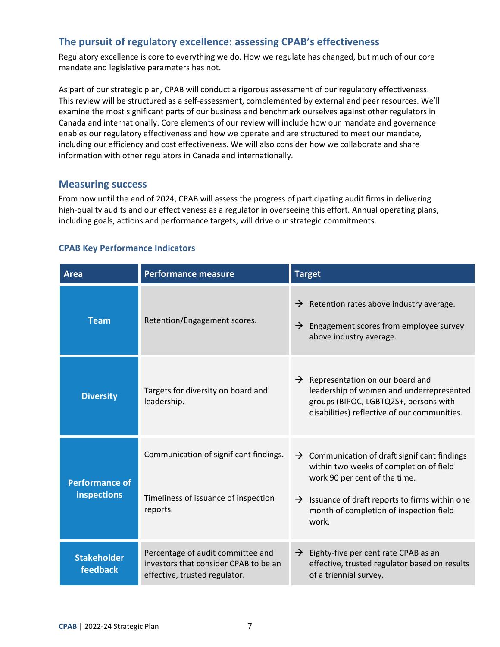## **The pursuit of regulatory excellence: assessing CPAB's effectiveness**

Regulatory excellence is core to everything we do. How we regulate has changed, but much of our core mandate and legislative parameters has not.

As part of our strategic plan, CPAB will conduct a rigorous assessment of our regulatory effectiveness. This review will be structured as a self-assessment, complemented by external and peer resources. We'll examine the most significant parts of our business and benchmark ourselves against other regulators in Canada and internationally. Core elements of our review will include how our mandate and governance enables our regulatory effectiveness and how we operate and are structured to meet our mandate, including our efficiency and cost effectiveness. We will also consider how we collaborate and share information with other regulators in Canada and internationally.

## **Measuring success**

From now until the end of 2024, CPAB will assess the progress of participating audit firms in delivering high-quality audits and our effectiveness as a regulator in overseeing this effort. Annual operating plans, including goals, actions and performance targets, will drive our strategic commitments.

#### **CPAB Key Performance Indicators**

| <b>Area</b>                                 | <b>Performance measure</b>                                                                                  | <b>Target</b>                                                                                                                                                                                                                                            |
|---------------------------------------------|-------------------------------------------------------------------------------------------------------------|----------------------------------------------------------------------------------------------------------------------------------------------------------------------------------------------------------------------------------------------------------|
| <b>Team</b>                                 | Retention/Engagement scores.                                                                                | Retention rates above industry average.<br>$\rightarrow$<br>$\rightarrow$ Engagement scores from employee survey<br>above industry average.                                                                                                              |
| <b>Diversity</b>                            | Targets for diversity on board and<br>leadership.                                                           | $\rightarrow$ Representation on our board and<br>leadership of women and underrepresented<br>groups (BIPOC, LGBTQ2S+, persons with<br>disabilities) reflective of our communities.                                                                       |
| <b>Performance of</b><br><b>inspections</b> | Communication of significant findings.<br>Timeliness of issuance of inspection<br>reports.                  | $\rightarrow$ Communication of draft significant findings<br>within two weeks of completion of field<br>work 90 per cent of the time.<br>$\rightarrow$ Issuance of draft reports to firms within one<br>month of completion of inspection field<br>work. |
| <b>Stakeholder</b><br><b>feedback</b>       | Percentage of audit committee and<br>investors that consider CPAB to be an<br>effective, trusted regulator. | $\rightarrow$ Eighty-five per cent rate CPAB as an<br>effective, trusted regulator based on results<br>of a triennial survey.                                                                                                                            |